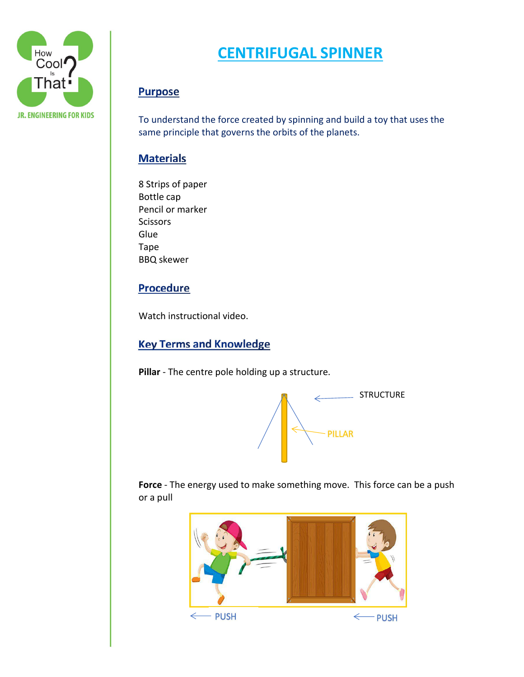

# **CENTRIFUGAL SPINNER**

# **Purpose**

To understand the force created by spinning and build a toy that uses the same principle that governs the orbits of the planets.

### **Materials**

8 Strips of paper Bottle cap Pencil or marker **Scissors Glue** Tape BBQ skewer

#### **Procedure**

Watch instructional video.

# **Key Terms and Knowledge**

**Pillar** - The centre pole holding up a structure.



**Force** - The energy used to make something move. This force can be a push or a pull